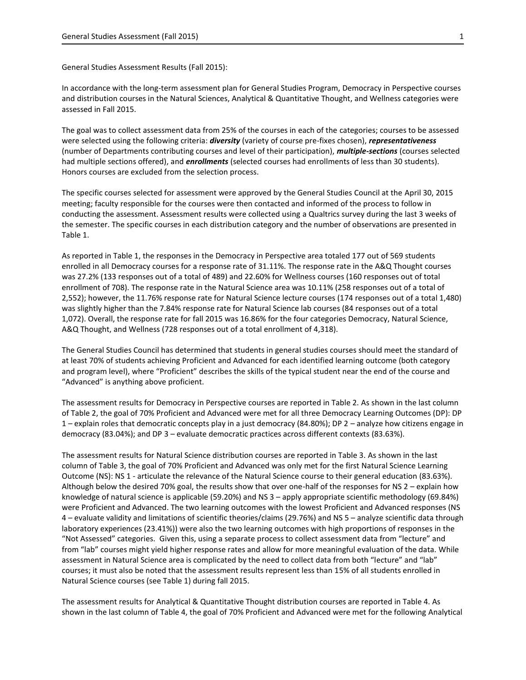General Studies Assessment Results (Fall 2015):

In accordance with the long-term assessment plan for General Studies Program, Democracy in Perspective courses and distribution courses in the Natural Sciences, Analytical & Quantitative Thought, and Wellness categories were assessed in Fall 2015.

The goal was to collect assessment data from 25% of the courses in each of the categories; courses to be assessed were selected using the following criteria: *diversity* (variety of course pre-fixes chosen), *representativeness* (number of Departments contributing courses and level of their participation), *multiple-sections* (courses selected had multiple sections offered), and *enrollments* (selected courses had enrollments of less than 30 students). Honors courses are excluded from the selection process.

The specific courses selected for assessment were approved by the General Studies Council at the April 30, 2015 meeting; faculty responsible for the courses were then contacted and informed of the process to follow in conducting the assessment. Assessment results were collected using a Qualtrics survey during the last 3 weeks of the semester. The specific courses in each distribution category and the number of observations are presented in Table 1.

As reported in Table 1, the responses in the Democracy in Perspective area totaled 177 out of 569 students enrolled in all Democracy courses for a response rate of 31.11%. The response rate in the A&Q Thought courses was 27.2% (133 responses out of a total of 489) and 22.60% for Wellness courses (160 responses out of total enrollment of 708). The response rate in the Natural Science area was 10.11% (258 responses out of a total of 2,552); however, the 11.76% response rate for Natural Science lecture courses (174 responses out of a total 1,480) was slightly higher than the 7.84% response rate for Natural Science lab courses (84 responses out of a total 1,072). Overall, the response rate for fall 2015 was 16.86% for the four categories Democracy, Natural Science, A&Q Thought, and Wellness (728 responses out of a total enrollment of 4,318).

The General Studies Council has determined that students in general studies courses should meet the standard of at least 70% of students achieving Proficient and Advanced for each identified learning outcome (both category and program level), where "Proficient" describes the skills of the typical student near the end of the course and "Advanced" is anything above proficient.

The assessment results for Democracy in Perspective courses are reported in Table 2. As shown in the last column of Table 2, the goal of 70% Proficient and Advanced were met for all three Democracy Learning Outcomes (DP): DP 1 – explain roles that democratic concepts play in a just democracy (84.80%); DP 2 – analyze how citizens engage in democracy (83.04%); and DP 3 – evaluate democratic practices across different contexts (83.63%).

The assessment results for Natural Science distribution courses are reported in Table 3. As shown in the last column of Table 3, the goal of 70% Proficient and Advanced was only met for the first Natural Science Learning Outcome (NS): NS 1 - articulate the relevance of the Natural Science course to their general education (83.63%). Although below the desired 70% goal, the results show that over one-half of the responses for NS 2 – explain how knowledge of natural science is applicable (59.20%) and NS 3 – apply appropriate scientific methodology (69.84%) were Proficient and Advanced. The two learning outcomes with the lowest Proficient and Advanced responses (NS 4 – evaluate validity and limitations of scientific theories/claims (29.76%) and NS 5 – analyze scientific data through laboratory experiences (23.41%)) were also the two learning outcomes with high proportions of responses in the "Not Assessed" categories. Given this, using a separate process to collect assessment data from "lecture" and from "lab" courses might yield higher response rates and allow for more meaningful evaluation of the data. While assessment in Natural Science area is complicated by the need to collect data from both "lecture" and "lab" courses; it must also be noted that the assessment results represent less than 15% of all students enrolled in Natural Science courses (see Table 1) during fall 2015.

The assessment results for Analytical & Quantitative Thought distribution courses are reported in Table 4. As shown in the last column of Table 4, the goal of 70% Proficient and Advanced were met for the following Analytical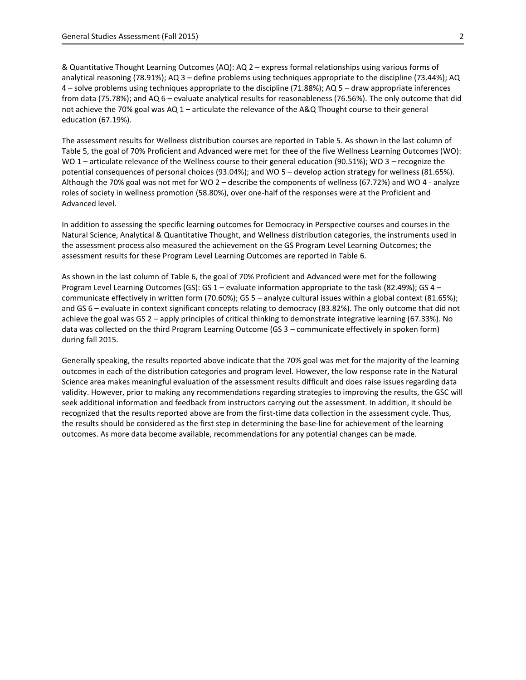& Quantitative Thought Learning Outcomes (AQ): AQ 2 – express formal relationships using various forms of analytical reasoning (78.91%); AQ 3 – define problems using techniques appropriate to the discipline (73.44%); AQ 4 – solve problems using techniques appropriate to the discipline (71.88%); AQ 5 – draw appropriate inferences from data (75.78%); and AQ 6 – evaluate analytical results for reasonableness (76.56%). The only outcome that did not achieve the 70% goal was AQ 1 – articulate the relevance of the A&Q Thought course to their general education (67.19%).

The assessment results for Wellness distribution courses are reported in Table 5. As shown in the last column of Table 5, the goal of 70% Proficient and Advanced were met for thee of the five Wellness Learning Outcomes (WO): WO 1 – articulate relevance of the Wellness course to their general education (90.51%); WO 3 – recognize the potential consequences of personal choices (93.04%); and WO 5 – develop action strategy for wellness (81.65%). Although the 70% goal was not met for WO 2 – describe the components of wellness (67.72%) and WO 4 - analyze roles of society in wellness promotion (58.80%), over one-half of the responses were at the Proficient and Advanced level.

In addition to assessing the specific learning outcomes for Democracy in Perspective courses and courses in the Natural Science, Analytical & Quantitative Thought, and Wellness distribution categories, the instruments used in the assessment process also measured the achievement on the GS Program Level Learning Outcomes; the assessment results for these Program Level Learning Outcomes are reported in Table 6.

As shown in the last column of Table 6, the goal of 70% Proficient and Advanced were met for the following Program Level Learning Outcomes (GS): GS 1 – evaluate information appropriate to the task (82.49%); GS 4 – communicate effectively in written form (70.60%); GS 5 – analyze cultural issues within a global context (81.65%); and GS 6 – evaluate in context significant concepts relating to democracy (83.82%). The only outcome that did not achieve the goal was GS 2 – apply principles of critical thinking to demonstrate integrative learning (67.33%). No data was collected on the third Program Learning Outcome (GS 3 – communicate effectively in spoken form) during fall 2015.

Generally speaking, the results reported above indicate that the 70% goal was met for the majority of the learning outcomes in each of the distribution categories and program level. However, the low response rate in the Natural Science area makes meaningful evaluation of the assessment results difficult and does raise issues regarding data validity. However, prior to making any recommendations regarding strategies to improving the results, the GSC will seek additional information and feedback from instructors carrying out the assessment. In addition, it should be recognized that the results reported above are from the first-time data collection in the assessment cycle. Thus, the results should be considered as the first step in determining the base-line for achievement of the learning outcomes. As more data become available, recommendations for any potential changes can be made.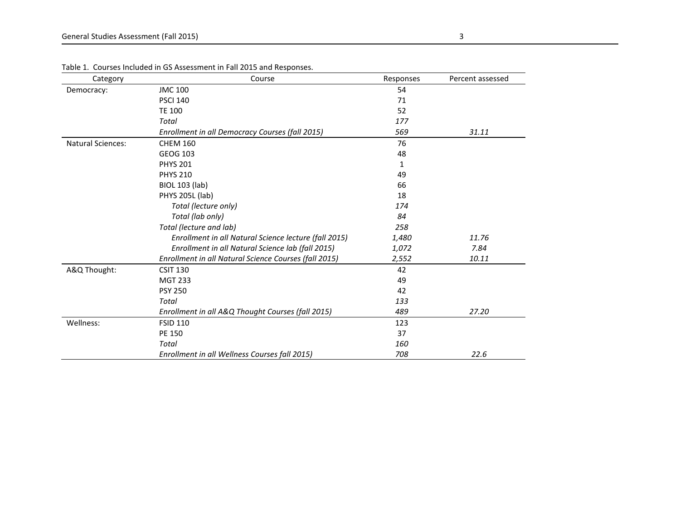| Category                 | Course                                                | Responses | Percent assessed |
|--------------------------|-------------------------------------------------------|-----------|------------------|
| Democracy:               | <b>JMC 100</b>                                        | 54        |                  |
|                          | <b>PSCI 140</b>                                       | 71        |                  |
|                          | <b>TE 100</b>                                         | 52        |                  |
|                          | Total                                                 | 177       |                  |
|                          | Enrollment in all Democracy Courses (fall 2015)       | 569       | 31.11            |
| <b>Natural Sciences:</b> | <b>CHEM 160</b>                                       | 76        |                  |
|                          | GEOG 103                                              | 48        |                  |
|                          | <b>PHYS 201</b>                                       | 1         |                  |
|                          | <b>PHYS 210</b>                                       | 49        |                  |
|                          | <b>BIOL 103 (lab)</b>                                 | 66        |                  |
|                          | <b>PHYS 205L (lab)</b>                                | 18        |                  |
|                          | Total (lecture only)                                  | 174       |                  |
|                          | Total (lab only)                                      | 84        |                  |
|                          | Total (lecture and lab)                               | 258       |                  |
|                          | Enrollment in all Natural Science lecture (fall 2015) | 1,480     | 11.76            |
|                          | Enrollment in all Natural Science lab (fall 2015)     | 1,072     | 7.84             |
|                          | Enrollment in all Natural Science Courses (fall 2015) | 2,552     | 10.11            |
| A&Q Thought:             | <b>CSIT 130</b>                                       | 42        |                  |
|                          | <b>MGT 233</b>                                        | 49        |                  |
|                          | <b>PSY 250</b>                                        | 42        |                  |
|                          | Total                                                 | 133       |                  |
|                          | Enrollment in all A&Q Thought Courses (fall 2015)     | 489       | 27.20            |
| Wellness:                | <b>FSID 110</b>                                       | 123       |                  |
|                          | PE 150                                                | 37        |                  |
|                          | Total                                                 | 160       |                  |
|                          | Enrollment in all Wellness Courses fall 2015)         | 708       | 22.6             |

Table 1. Courses Included in GS Assessment in Fall 2015 and Responses.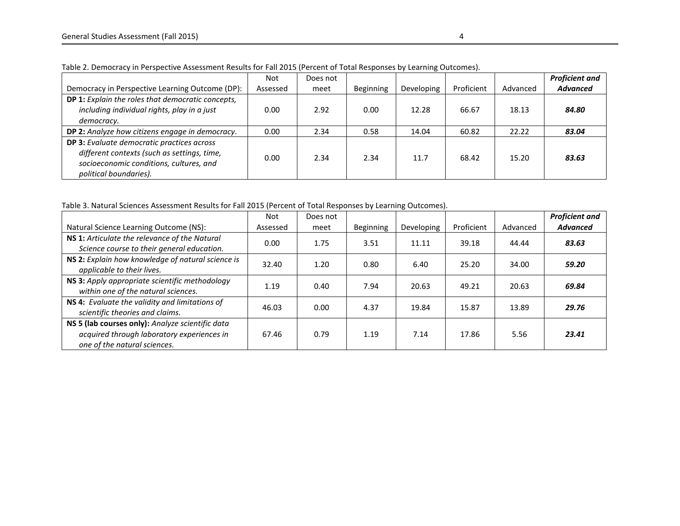|                                                                                                                                                                       | Not      | Does not |           |            |            |          | <b>Proficient and</b> |
|-----------------------------------------------------------------------------------------------------------------------------------------------------------------------|----------|----------|-----------|------------|------------|----------|-----------------------|
| Democracy in Perspective Learning Outcome (DP):                                                                                                                       | Assessed | meet     | Beginning | Developing | Proficient | Advanced | <b>Advanced</b>       |
| DP 1: Explain the roles that democratic concepts,<br>including individual rights, play in a just                                                                      | 0.00     | 2.92     | 0.00      | 12.28      | 66.67      | 18.13    | 84.80                 |
| democracy.                                                                                                                                                            |          |          |           |            |            |          |                       |
| DP 2: Analyze how citizens engage in democracy.                                                                                                                       | 0.00     | 2.34     | 0.58      | 14.04      | 60.82      | 22.22    | 83.04                 |
| <b>DP 3:</b> Evaluate democratic practices across<br>different contexts (such as settings, time,<br>socioeconomic conditions, cultures, and<br>political boundaries). | 0.00     | 2.34     | 2.34      | 11.7       | 68.42      | 15.20    | 83.63                 |

Table 2. Democracy in Perspective Assessment Results for Fall 2015 (Percent of Total Responses by Learning Outcomes).

Table 3. Natural Sciences Assessment Results for Fall 2015 (Percent of Total Responses by Learning Outcomes).

|                                                                                                                                | Not      | Does not |           |            |            |          | <b>Proficient and</b> |
|--------------------------------------------------------------------------------------------------------------------------------|----------|----------|-----------|------------|------------|----------|-----------------------|
| Natural Science Learning Outcome (NS):                                                                                         | Assessed | meet     | Beginning | Developing | Proficient | Advanced | <b>Advanced</b>       |
| NS 1: Articulate the relevance of the Natural<br>Science course to their general education.                                    | 0.00     | 1.75     | 3.51      | 11.11      | 39.18      | 44.44    | 83.63                 |
| NS 2: Explain how knowledge of natural science is<br>applicable to their lives.                                                | 32.40    | 1.20     | 0.80      | 6.40       | 25.20      | 34.00    | 59.20                 |
| NS 3: Apply appropriate scientific methodology<br>within one of the natural sciences.                                          | 1.19     | 0.40     | 7.94      | 20.63      | 49.21      | 20.63    | 69.84                 |
| NS 4: Evaluate the validity and limitations of<br>scientific theories and claims.                                              | 46.03    | 0.00     | 4.37      | 19.84      | 15.87      | 13.89    | 29.76                 |
| NS 5 (lab courses only): Analyze scientific data<br>acquired through laboratory experiences in<br>one of the natural sciences. | 67.46    | 0.79     | 1.19      | 7.14       | 17.86      | 5.56     | 23.41                 |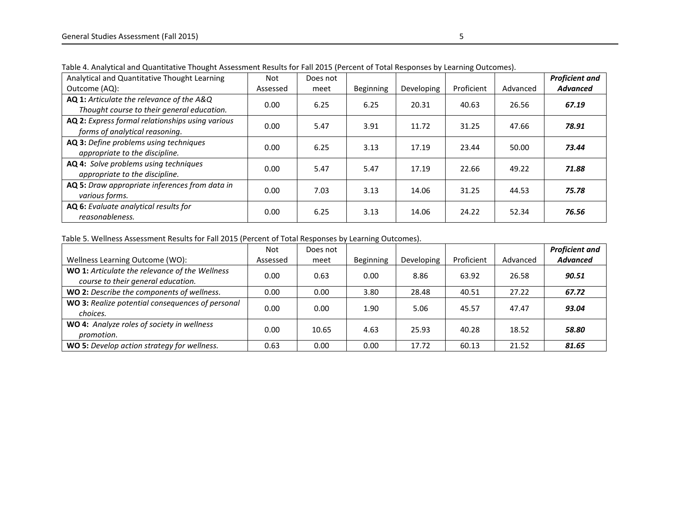| Analytical and Quantitative Thought Learning                                            | Not      | Does not |                  |            |            |          | <b>Proficient and</b> |
|-----------------------------------------------------------------------------------------|----------|----------|------------------|------------|------------|----------|-----------------------|
| Outcome (AQ):                                                                           | Assessed | meet     | <b>Beginning</b> | Developing | Proficient | Advanced | <b>Advanced</b>       |
| AQ 1: Articulate the relevance of the A&Q<br>Thought course to their general education. | 0.00     | 6.25     | 6.25             | 20.31      | 40.63      | 26.56    | 67.19                 |
| AQ 2: Express formal relationships using various<br>forms of analytical reasoning.      | 0.00     | 5.47     | 3.91             | 11.72      | 31.25      | 47.66    | 78.91                 |
| AQ 3: Define problems using techniques<br>appropriate to the discipline.                | 0.00     | 6.25     | 3.13             | 17.19      | 23.44      | 50.00    | 73.44                 |
| AQ 4: Solve problems using techniques<br>appropriate to the discipline.                 | 0.00     | 5.47     | 5.47             | 17.19      | 22.66      | 49.22    | 71.88                 |
| AQ 5: Draw appropriate inferences from data in<br>various forms.                        | 0.00     | 7.03     | 3.13             | 14.06      | 31.25      | 44.53    | 75.78                 |
| AQ 6: Evaluate analytical results for<br>reasonableness.                                | 0.00     | 6.25     | 3.13             | 14.06      | 24.22      | 52.34    | 76.56                 |

Table 4. Analytical and Quantitative Thought Assessment Results for Fall 2015 (Percent of Total Responses by Learning Outcomes).

Table 5. Wellness Assessment Results for Fall 2015 (Percent of Total Responses by Learning Outcomes).

|                                                                                      | Not      | Does not |                  |            |            |          | <b>Proficient and</b> |
|--------------------------------------------------------------------------------------|----------|----------|------------------|------------|------------|----------|-----------------------|
| Wellness Learning Outcome (WO):                                                      | Assessed | meet     | <b>Beginning</b> | Developing | Proficient | Advanced | <b>Advanced</b>       |
| WO 1: Articulate the relevance of the Wellness<br>course to their general education. | 0.00     | 0.63     | 0.00             | 8.86       | 63.92      | 26.58    | 90.51                 |
| WO 2: Describe the components of wellness.                                           | 0.00     | 0.00     | 3.80             | 28.48      | 40.51      | 27.22    | 67.72                 |
| WO 3: Realize potential consequences of personal<br>choices.                         | 0.00     | 0.00     | 1.90             | 5.06       | 45.57      | 47.47    | 93.04                 |
| WO 4: Analyze roles of society in wellness<br>promotion.                             | 0.00     | 10.65    | 4.63             | 25.93      | 40.28      | 18.52    | 58.80                 |
| <b>WO 5:</b> Develop action strategy for wellness.                                   | 0.63     | 0.00     | 0.00             | 17.72      | 60.13      | 21.52    | 81.65                 |